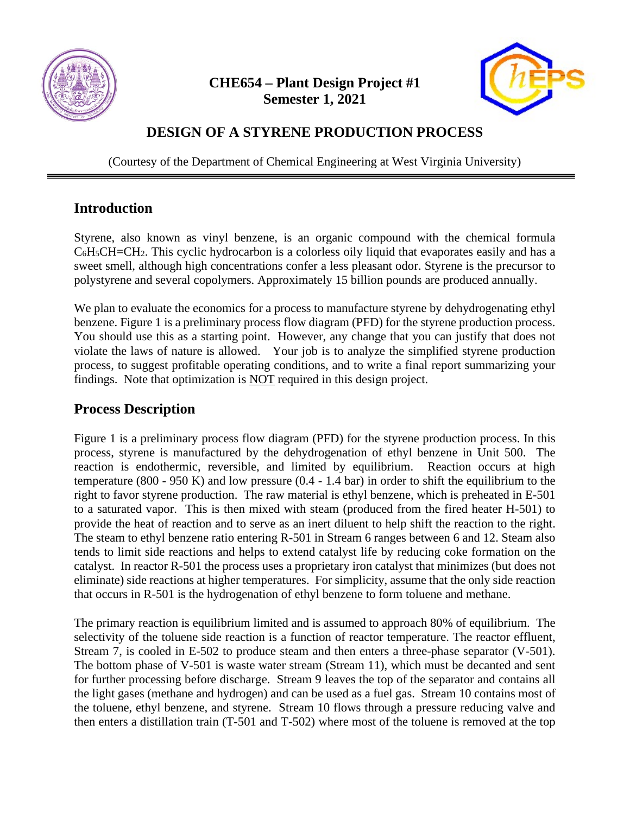

**CHE654 – Plant Design Project #1 Semester 1, 2021**



## **DESIGN OF A STYRENE PRODUCTION PROCESS**

(Courtesy of the Department of Chemical Engineering at West Virginia University)

## **Introduction**

Styrene, also known as vinyl benzene, is an organic compound with the chemical formula  $C_6H_5CH=CH_2$ . This cyclic hydrocarbon is a colorless oily liquid that evaporates easily and has a sweet smell, although high concentrations confer a less pleasant odor. Styrene is the precursor to polystyrene and several copolymers. Approximately 15 billion pounds are produced annually.

We plan to evaluate the economics for a process to manufacture styrene by dehydrogenating ethyl benzene. Figure 1 is a preliminary process flow diagram (PFD) for the styrene production process. You should use this as a starting point. However, any change that you can justify that does not violate the laws of nature is allowed. Your job is to analyze the simplified styrene production process, to suggest profitable operating conditions, and to write a final report summarizing your findings. Note that optimization is NOT required in this design project.

## **Process Description**

Figure 1 is a preliminary process flow diagram (PFD) for the styrene production process. In this process, styrene is manufactured by the dehydrogenation of ethyl benzene in Unit 500. The reaction is endothermic, reversible, and limited by equilibrium. Reaction occurs at high temperature (800 - 950 K) and low pressure (0.4 - 1.4 bar) in order to shift the equilibrium to the right to favor styrene production. The raw material is ethyl benzene, which is preheated in E-501 to a saturated vapor. This is then mixed with steam (produced from the fired heater H-501) to provide the heat of reaction and to serve as an inert diluent to help shift the reaction to the right. The steam to ethyl benzene ratio entering R-501 in Stream 6 ranges between 6 and 12. Steam also tends to limit side reactions and helps to extend catalyst life by reducing coke formation on the catalyst. In reactor R-501 the process uses a proprietary iron catalyst that minimizes (but does not eliminate) side reactions at higher temperatures. For simplicity, assume that the only side reaction that occurs in R-501 is the hydrogenation of ethyl benzene to form toluene and methane.

The primary reaction is equilibrium limited and is assumed to approach 80% of equilibrium. The selectivity of the toluene side reaction is a function of reactor temperature. The reactor effluent, Stream 7, is cooled in E-502 to produce steam and then enters a three-phase separator (V-501). The bottom phase of V-501 is waste water stream (Stream 11), which must be decanted and sent for further processing before discharge. Stream 9 leaves the top of the separator and contains all the light gases (methane and hydrogen) and can be used as a fuel gas. Stream 10 contains most of the toluene, ethyl benzene, and styrene. Stream 10 flows through a pressure reducing valve and then enters a distillation train (T-501 and T-502) where most of the toluene is removed at the top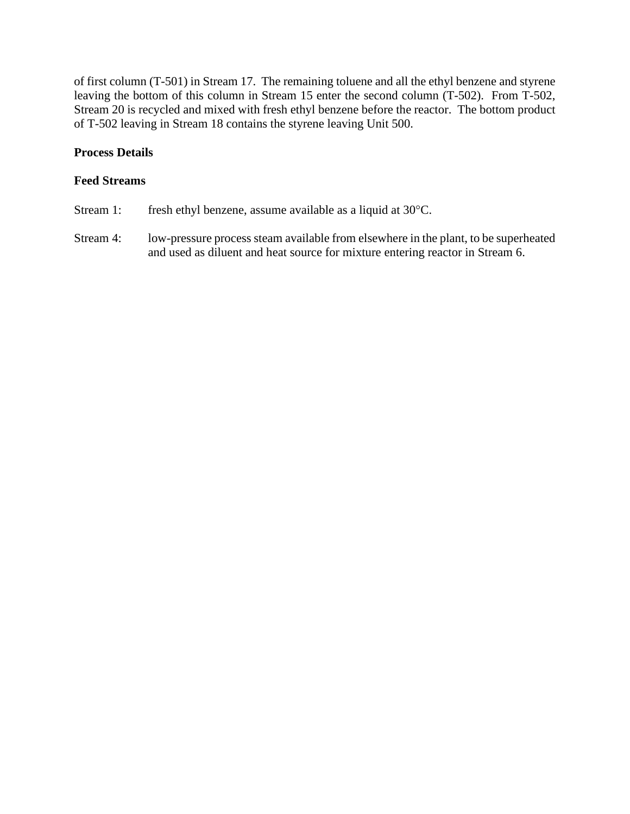of first column (T-501) in Stream 17. The remaining toluene and all the ethyl benzene and styrene leaving the bottom of this column in Stream 15 enter the second column (T-502). From T-502, Stream 20 is recycled and mixed with fresh ethyl benzene before the reactor. The bottom product of T-502 leaving in Stream 18 contains the styrene leaving Unit 500.

#### **Process Details**

#### **Feed Streams**

- Stream 1: fresh ethyl benzene, assume available as a liquid at 30°C.
- Stream 4: low-pressure process steam available from elsewhere in the plant, to be superheated and used as diluent and heat source for mixture entering reactor in Stream 6.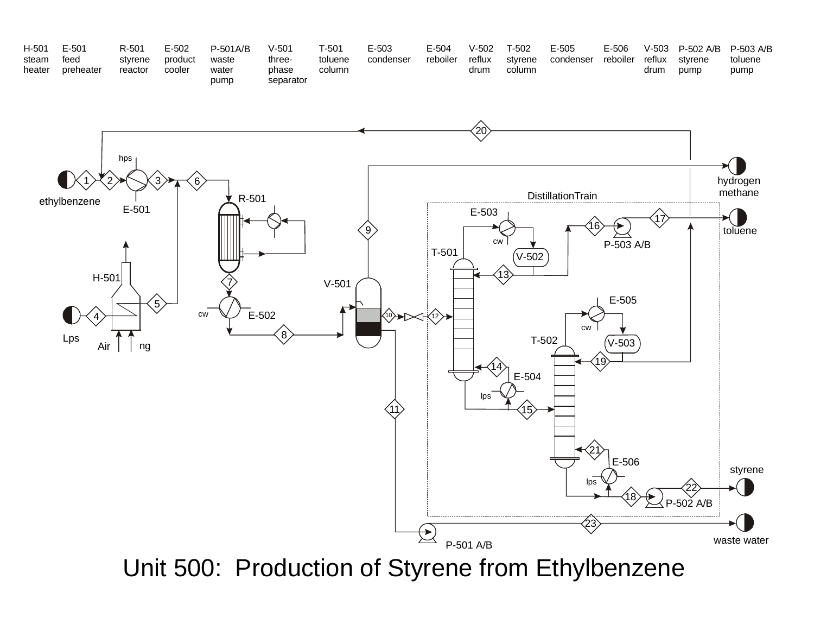| H-501  | E-501     | R-501   | E-502   | $P-501A/B$    | V-501              | T-501   | $E - 503$ | E-504    | $V-502$ | т-502   | $E-505$   | E-506    | $V-503$ | P-502 A/B P-503 A/B | toluene |
|--------|-----------|---------|---------|---------------|--------------------|---------|-----------|----------|---------|---------|-----------|----------|---------|---------------------|---------|
| steam  | feed      | styrene | product | waste         | three-             | toluene | condenser | reboiler | reflux  | styrene | condenser | reboiler | reflux  | stvrene             |         |
| heater | preheater | reactor | cooler  | water<br>pump | phase<br>separator | column  |           |          | drum    | column  |           |          | drum    | pump                | pump    |



Unit 500: Production of Styrene from Ethylbenzene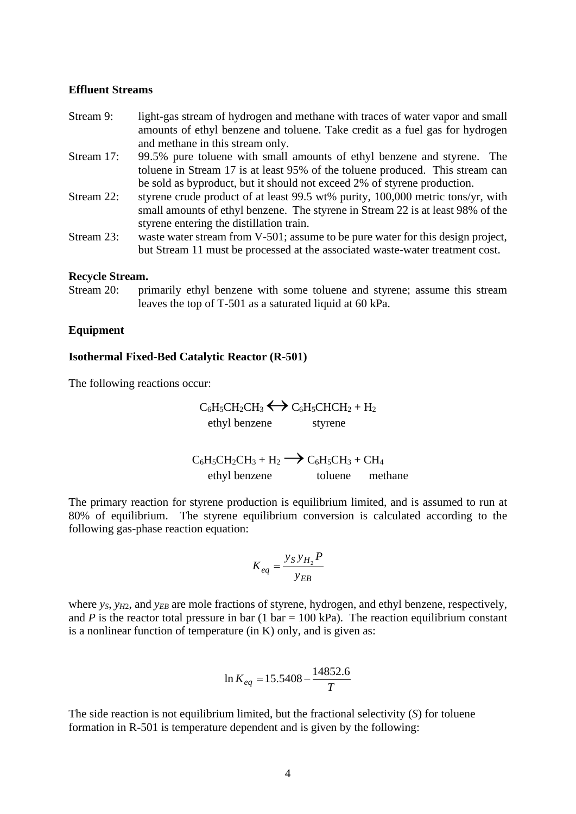#### **Effluent Streams**

- Stream 9: light-gas stream of hydrogen and methane with traces of water vapor and small amounts of ethyl benzene and toluene. Take credit as a fuel gas for hydrogen and methane in this stream only.
- Stream 17: 99.5% pure toluene with small amounts of ethyl benzene and styrene. The toluene in Stream 17 is at least 95% of the toluene produced. This stream can be sold as byproduct, but it should not exceed 2% of styrene production.
- Stream 22: styrene crude product of at least 99.5 wt% purity, 100,000 metric tons/yr, with small amounts of ethyl benzene. The styrene in Stream 22 is at least 98% of the styrene entering the distillation train.
- Stream 23: waste water stream from V-501; assume to be pure water for this design project, but Stream 11 must be processed at the associated waste-water treatment cost.

#### **Recycle Stream.**

Stream 20: primarily ethyl benzene with some toluene and styrene; assume this stream leaves the top of T-501 as a saturated liquid at 60 kPa.

#### **Equipment**

#### **Isothermal Fixed-Bed Catalytic Reactor (R-501)**

The following reactions occur:

$$
C_6H_5CH_2CH_3 \longleftrightarrow C_6H_5CHCH_2 + H_2
$$
ethyl benzene styrene

 $C_6H_5CH_2CH_3 + H_2 \longrightarrow C_6H_5CH_3 + CH_4$ ethyl benzene toluene methane

The primary reaction for styrene production is equilibrium limited, and is assumed to run at 80% of equilibrium. The styrene equilibrium conversion is calculated according to the following gas-phase reaction equation:

$$
K_{eq} = \frac{y_S y_{H_2} P}{y_{EB}}
$$

where  $y_S$ ,  $y_H$ <sub>2</sub>, and  $y_{FB}$  are mole fractions of styrene, hydrogen, and ethyl benzene, respectively, and *P* is the reactor total pressure in bar (1 bar = 100 kPa). The reaction equilibrium constant is a nonlinear function of temperature (in K) only, and is given as:

$$
\ln K_{eq} = 15.5408 - \frac{14852.6}{T}
$$

The side reaction is not equilibrium limited, but the fractional selectivity (*S*) for toluene formation in R-501 is temperature dependent and is given by the following: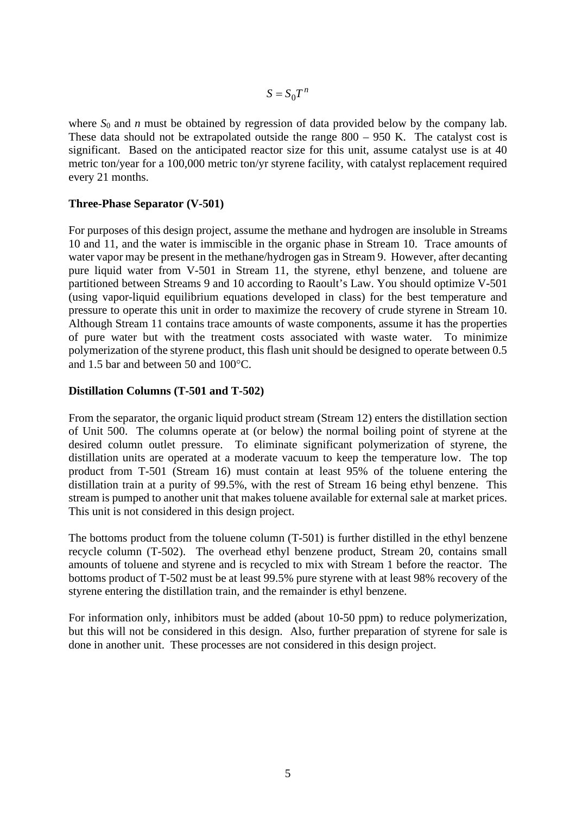$S = S_0 T^n$ 

where  $S_0$  and *n* must be obtained by regression of data provided below by the company lab. These data should not be extrapolated outside the range  $800 - 950$  K. The catalyst cost is significant. Based on the anticipated reactor size for this unit, assume catalyst use is at 40 metric ton/year for a 100,000 metric ton/yr styrene facility, with catalyst replacement required every 21 months.

#### **Three-Phase Separator (V-501)**

For purposes of this design project, assume the methane and hydrogen are insoluble in Streams 10 and 11, and the water is immiscible in the organic phase in Stream 10. Trace amounts of water vapor may be present in the methane/hydrogen gas in Stream 9. However, after decanting pure liquid water from V-501 in Stream 11, the styrene, ethyl benzene, and toluene are partitioned between Streams 9 and 10 according to Raoult's Law. You should optimize V-501 (using vapor-liquid equilibrium equations developed in class) for the best temperature and pressure to operate this unit in order to maximize the recovery of crude styrene in Stream 10. Although Stream 11 contains trace amounts of waste components, assume it has the properties of pure water but with the treatment costs associated with waste water. To minimize polymerization of the styrene product, this flash unit should be designed to operate between 0.5 and 1.5 bar and between 50 and 100°C.

#### **Distillation Columns (T-501 and T-502)**

From the separator, the organic liquid product stream (Stream 12) enters the distillation section of Unit 500. The columns operate at (or below) the normal boiling point of styrene at the desired column outlet pressure. To eliminate significant polymerization of styrene, the distillation units are operated at a moderate vacuum to keep the temperature low. The top product from T-501 (Stream 16) must contain at least 95% of the toluene entering the distillation train at a purity of 99.5%, with the rest of Stream 16 being ethyl benzene. This stream is pumped to another unit that makes toluene available for external sale at market prices. This unit is not considered in this design project.

The bottoms product from the toluene column (T-501) is further distilled in the ethyl benzene recycle column (T-502). The overhead ethyl benzene product, Stream 20, contains small amounts of toluene and styrene and is recycled to mix with Stream 1 before the reactor. The bottoms product of T-502 must be at least 99.5% pure styrene with at least 98% recovery of the styrene entering the distillation train, and the remainder is ethyl benzene.

For information only, inhibitors must be added (about 10-50 ppm) to reduce polymerization, but this will not be considered in this design. Also, further preparation of styrene for sale is done in another unit. These processes are not considered in this design project.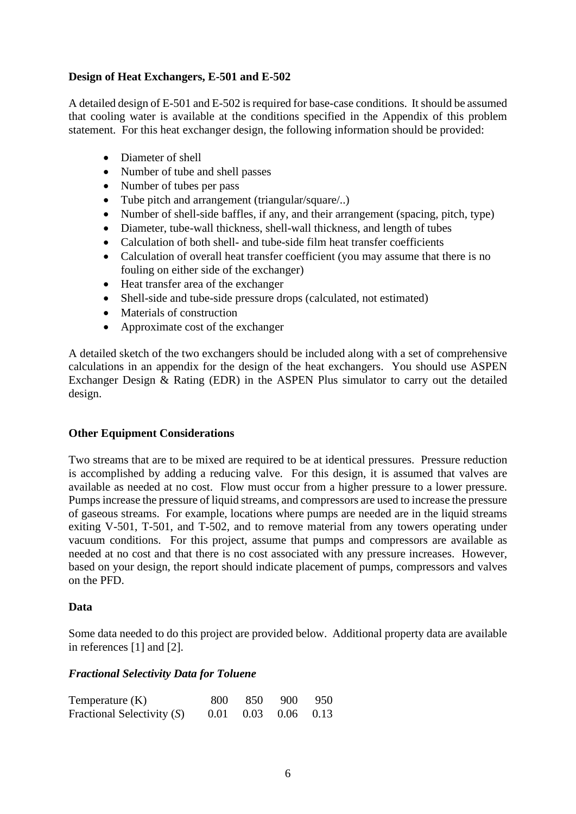#### **Design of Heat Exchangers, E-501 and E-502**

A detailed design of E-501 and E-502 is required for base-case conditions. It should be assumed that cooling water is available at the conditions specified in the Appendix of this problem statement. For this heat exchanger design, the following information should be provided:

- Diameter of shell
- Number of tube and shell passes
- Number of tubes per pass
- Tube pitch and arrangement (triangular/square/..)
- Number of shell-side baffles, if any, and their arrangement (spacing, pitch, type)
- Diameter, tube-wall thickness, shell-wall thickness, and length of tubes
- Calculation of both shell- and tube-side film heat transfer coefficients
- Calculation of overall heat transfer coefficient (you may assume that there is no fouling on either side of the exchanger)
- Heat transfer area of the exchanger
- Shell-side and tube-side pressure drops (calculated, not estimated)
- Materials of construction
- Approximate cost of the exchanger

A detailed sketch of the two exchangers should be included along with a set of comprehensive calculations in an appendix for the design of the heat exchangers. You should use ASPEN Exchanger Design & Rating (EDR) in the ASPEN Plus simulator to carry out the detailed design.

#### **Other Equipment Considerations**

Two streams that are to be mixed are required to be at identical pressures. Pressure reduction is accomplished by adding a reducing valve. For this design, it is assumed that valves are available as needed at no cost. Flow must occur from a higher pressure to a lower pressure. Pumps increase the pressure of liquid streams, and compressors are used to increase the pressure of gaseous streams. For example, locations where pumps are needed are in the liquid streams exiting V-501, T-501, and T-502, and to remove material from any towers operating under vacuum conditions. For this project, assume that pumps and compressors are available as needed at no cost and that there is no cost associated with any pressure increases. However, based on your design, the report should indicate placement of pumps, compressors and valves on the PFD.

#### **Data**

Some data needed to do this project are provided below. Additional property data are available in references [1] and [2].

#### *Fractional Selectivity Data for Toluene*

| Temperature $(K)$            | 800 850 900 950             |  |
|------------------------------|-----------------------------|--|
| Fractional Selectivity $(S)$ | $0.01$ $0.03$ $0.06$ $0.13$ |  |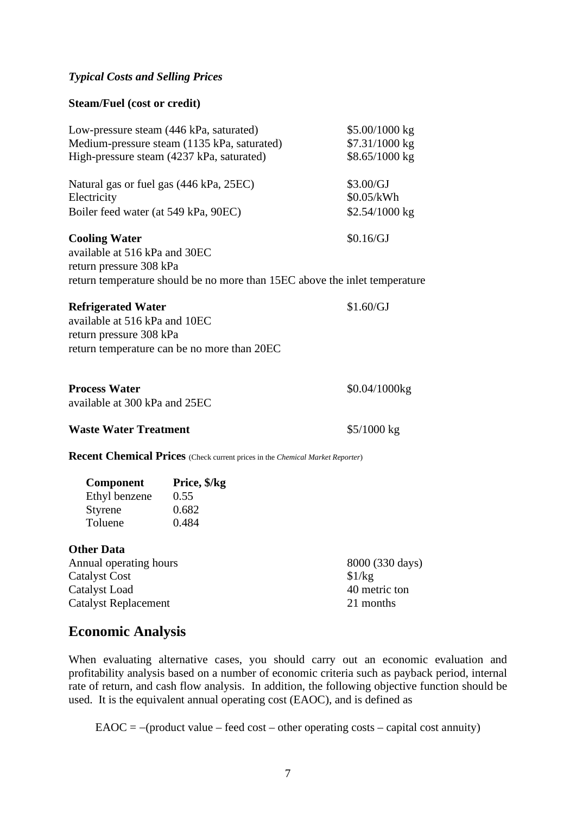#### *Typical Costs and Selling Prices*

#### **Steam/Fuel (cost or credit)**

| Low-pressure steam (446 kPa, saturated)<br>High-pressure steam (4237 kPa, saturated)                                       | Medium-pressure steam (1135 kPa, saturated)                                   | \$5.00/1000 kg<br>\$7.31/1000 kg<br>\$8.65/1000 kg      |  |  |  |
|----------------------------------------------------------------------------------------------------------------------------|-------------------------------------------------------------------------------|---------------------------------------------------------|--|--|--|
| Natural gas or fuel gas (446 kPa, 25EC)<br>Electricity<br>Boiler feed water (at 549 kPa, 90EC)                             |                                                                               | \$3.00/GJ<br>\$0.05/kWh<br>\$2.54/1000 kg               |  |  |  |
| <b>Cooling Water</b><br>available at 516 kPa and 30EC<br>return pressure 308 kPa                                           | return temperature should be no more than 15EC above the inlet temperature    | \$0.16/GJ                                               |  |  |  |
| <b>Refrigerated Water</b><br>available at 516 kPa and 10EC<br>return pressure 308 kPa                                      | return temperature can be no more than 20EC                                   | \$1.60/GJ                                               |  |  |  |
| <b>Process Water</b><br>available at 300 kPa and 25EC                                                                      |                                                                               | $$0.04/1000$ kg                                         |  |  |  |
| <b>Waste Water Treatment</b>                                                                                               |                                                                               | $$5/1000$ kg                                            |  |  |  |
|                                                                                                                            | Recent Chemical Prices (Check current prices in the Chemical Market Reporter) |                                                         |  |  |  |
| Component<br>Ethyl benzene<br>Styrene<br>Toluene                                                                           | Price, \$/kg<br>0.55<br>0.682<br>0.484                                        |                                                         |  |  |  |
| <b>Other Data</b><br>Annual operating hours<br><b>Catalyst Cost</b><br><b>Catalyst Load</b><br><b>Catalyst Replacement</b> |                                                                               | 8000 (330 days)<br>\$1/kg<br>40 metric ton<br>21 months |  |  |  |

## **Economic Analysis**

When evaluating alternative cases, you should carry out an economic evaluation and profitability analysis based on a number of economic criteria such as payback period, internal rate of return, and cash flow analysis. In addition, the following objective function should be used. It is the equivalent annual operating cost (EAOC), and is defined as

 $E A O C = -(product value - feed cost - other operating costs - capital cost annuity)$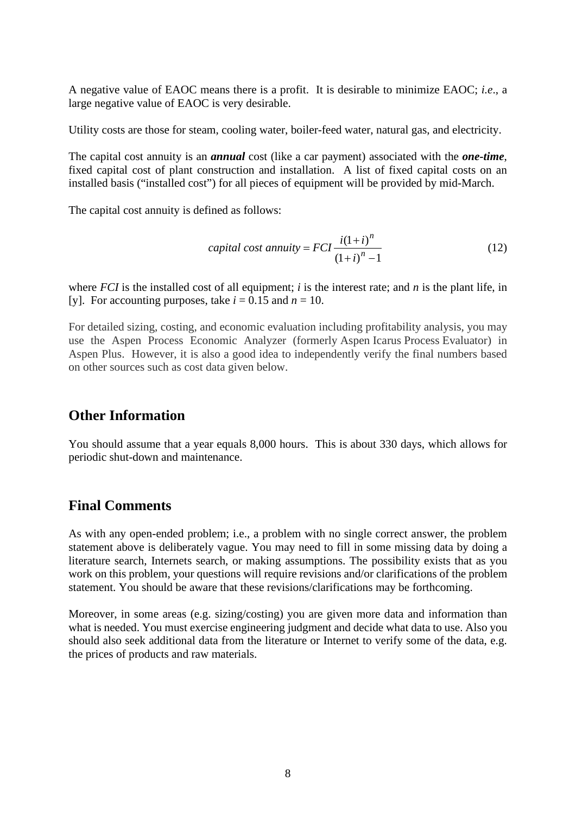A negative value of EAOC means there is a profit. It is desirable to minimize EAOC; *i.e*., a large negative value of EAOC is very desirable.

Utility costs are those for steam, cooling water, boiler-feed water, natural gas, and electricity.

The capital cost annuity is an *annual* cost (like a car payment) associated with the *one-time*, fixed capital cost of plant construction and installation. A list of fixed capital costs on an installed basis ("installed cost") for all pieces of equipment will be provided by mid-March.

The capital cost annuity is defined as follows:

$$
capital cost annuity = FCI \frac{i(1+i)^n}{(1+i)^n - 1}
$$
\n(12)

where *FCI* is the installed cost of all equipment; *i* is the interest rate; and *n* is the plant life, in [y]. For accounting purposes, take  $i = 0.15$  and  $n = 10$ .

For detailed sizing, costing, and economic evaluation including profitability analysis, you may use the Aspen Process Economic Analyzer (formerly Aspen Icarus Process Evaluator) in Aspen Plus. However, it is also a good idea to independently verify the final numbers based on other sources such as cost data given below.

## **Other Information**

You should assume that a year equals 8,000 hours. This is about 330 days, which allows for periodic shut-down and maintenance.

## **Final Comments**

As with any open-ended problem; i.e., a problem with no single correct answer, the problem statement above is deliberately vague. You may need to fill in some missing data by doing a literature search, Internets search, or making assumptions. The possibility exists that as you work on this problem, your questions will require revisions and/or clarifications of the problem statement. You should be aware that these revisions/clarifications may be forthcoming.

Moreover, in some areas (e.g. sizing/costing) you are given more data and information than what is needed. You must exercise engineering judgment and decide what data to use. Also you should also seek additional data from the literature or Internet to verify some of the data, e.g. the prices of products and raw materials.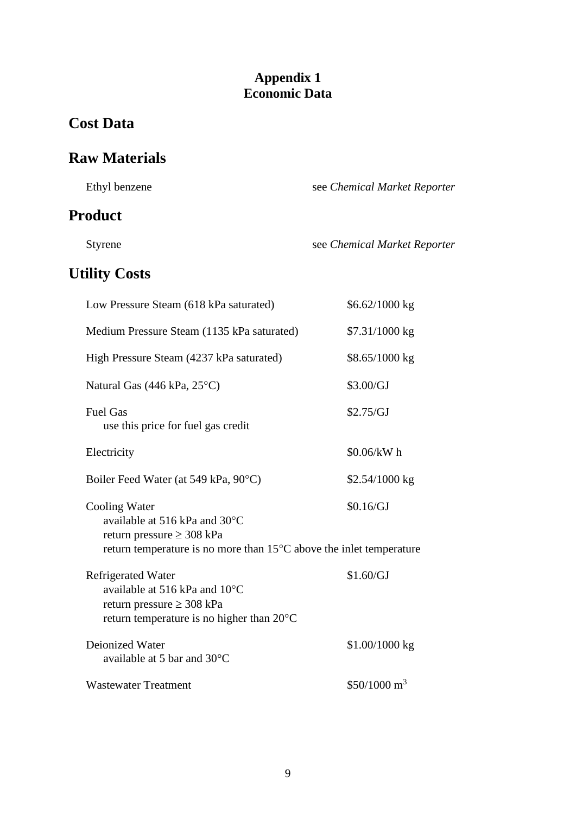## **Appendix 1 Economic Data**

# **Cost Data**

# **Raw Materials**

| Ethyl benzene                                                                                                                                                     | see Chemical Market Reporter |
|-------------------------------------------------------------------------------------------------------------------------------------------------------------------|------------------------------|
| <b>Product</b>                                                                                                                                                    |                              |
| <b>Styrene</b>                                                                                                                                                    | see Chemical Market Reporter |
| <b>Utility Costs</b>                                                                                                                                              |                              |
| Low Pressure Steam (618 kPa saturated)                                                                                                                            | $$6.62/1000$ kg              |
| Medium Pressure Steam (1135 kPa saturated)                                                                                                                        | \$7.31/1000 kg               |
| High Pressure Steam (4237 kPa saturated)                                                                                                                          | $$8.65/1000$ kg              |
| Natural Gas $(446 \text{ kPa}, 25^{\circ}\text{C})$                                                                                                               | \$3.00/GJ                    |
| <b>Fuel Gas</b><br>use this price for fuel gas credit                                                                                                             | \$2.75/GJ                    |
| Electricity                                                                                                                                                       | \$0.06/kW h                  |
| Boiler Feed Water (at 549 kPa, 90°C)                                                                                                                              | $$2.54/1000$ kg              |
| Cooling Water<br>available at 516 kPa and 30°C<br>return pressure $\geq$ 308 kPa<br>return temperature is no more than $15^{\circ}$ C above the inlet temperature | \$0.16/GJ                    |
| Refrigerated Water<br>available at 516 kPa and $10^{\circ}$ C<br>return pressure $\geq$ 308 kPa<br>return temperature is no higher than 20°C                      | \$1.60/GJ                    |
| Deionized Water<br>available at 5 bar and 30°C                                                                                                                    | $$1.00/1000$ kg              |
| <b>Wastewater Treatment</b>                                                                                                                                       | $$50/1000 \text{ m}^3$       |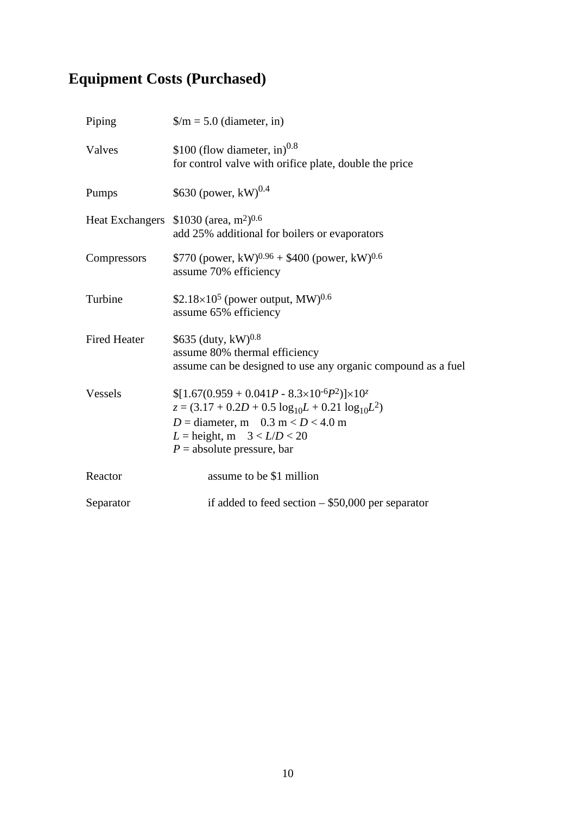# **Equipment Costs (Purchased)**

| $\gamma/m = 5.0$ (diameter, in)                                                                                                                                                                                                       |
|---------------------------------------------------------------------------------------------------------------------------------------------------------------------------------------------------------------------------------------|
| \$100 (flow diameter, in) <sup>0.8</sup><br>for control valve with orifice plate, double the price                                                                                                                                    |
| \$630 (power, $kW$ ) <sup>0.4</sup>                                                                                                                                                                                                   |
| Heat Exchangers \$1030 (area, m <sup>2</sup> ) <sup>0.6</sup><br>add 25% additional for boilers or evaporators                                                                                                                        |
| \$770 (power, kW) <sup>0.96</sup> + \$400 (power, kW) <sup>0.6</sup><br>assume 70% efficiency                                                                                                                                         |
| \$2.18 $\times$ 10 <sup>5</sup> (power output, MW) <sup>0.6</sup><br>assume 65% efficiency                                                                                                                                            |
| \$635 (duty, $kW$ ) <sup>0.8</sup><br>assume 80% thermal efficiency<br>assume can be designed to use any organic compound as a fuel                                                                                                   |
| $[1.67(0.959 + 0.041P - 8.3 \times 10^{-6}P^2)] \times 10^{2}$<br>$z = (3.17 + 0.2D + 0.5 \log_{10}L + 0.21 \log_{10}L^2)$<br>$D =$ diameter, m 0.3 m < $D$ < 4.0 m<br>$L =$ height, m $3 < L/D < 20$<br>$P =$ absolute pressure, bar |
| assume to be \$1 million                                                                                                                                                                                                              |
| if added to feed section $-$ \$50,000 per separator                                                                                                                                                                                   |
|                                                                                                                                                                                                                                       |